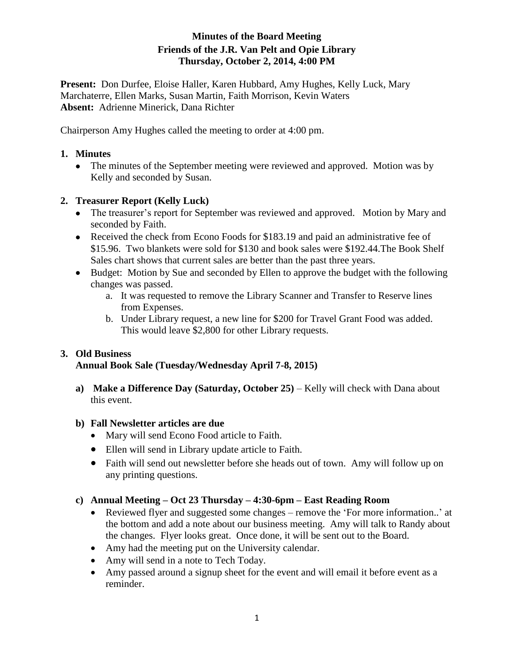## **Minutes of the Board Meeting Friends of the J.R. Van Pelt and Opie Library Thursday, October 2, 2014, 4:00 PM**

**Present:** Don Durfee, Eloise Haller, Karen Hubbard, Amy Hughes, Kelly Luck, Mary Marchaterre, Ellen Marks, Susan Martin, Faith Morrison, Kevin Waters **Absent:** Adrienne Minerick, Dana Richter

Chairperson Amy Hughes called the meeting to order at 4:00 pm.

#### **1. Minutes**

• The minutes of the September meeting were reviewed and approved. Motion was by Kelly and seconded by Susan.

### **2. Treasurer Report (Kelly Luck)**

- The treasurer's report for September was reviewed and approved. Motion by Mary and seconded by Faith.
- Received the check from Econo Foods for \$183.19 and paid an administrative fee of \$15.96. Two blankets were sold for \$130 and book sales were \$192.44.The Book Shelf Sales chart shows that current sales are better than the past three years.
- Budget: Motion by Sue and seconded by Ellen to approve the budget with the following changes was passed.
	- a. It was requested to remove the Library Scanner and Transfer to Reserve lines from Expenses.
	- b. Under Library request, a new line for \$200 for Travel Grant Food was added. This would leave \$2,800 for other Library requests.

# **3. Old Business**

### **Annual Book Sale (Tuesday/Wednesday April 7-8, 2015)**

**a) Make a Difference Day (Saturday, October 25)** – Kelly will check with Dana about this event.

### **b) Fall Newsletter articles are due**

- Mary will send Econo Food article to Faith.
- Ellen will send in Library update article to Faith.
- Faith will send out newsletter before she heads out of town. Amy will follow up on any printing questions.

#### **c) Annual Meeting – Oct 23 Thursday – 4:30-6pm – East Reading Room**

- Reviewed flyer and suggested some changes remove the 'For more information..' at the bottom and add a note about our business meeting. Amy will talk to Randy about the changes. Flyer looks great. Once done, it will be sent out to the Board.
- Amy had the meeting put on the University calendar.
- Amy will send in a note to Tech Today.
- Amy passed around a signup sheet for the event and will email it before event as a reminder.